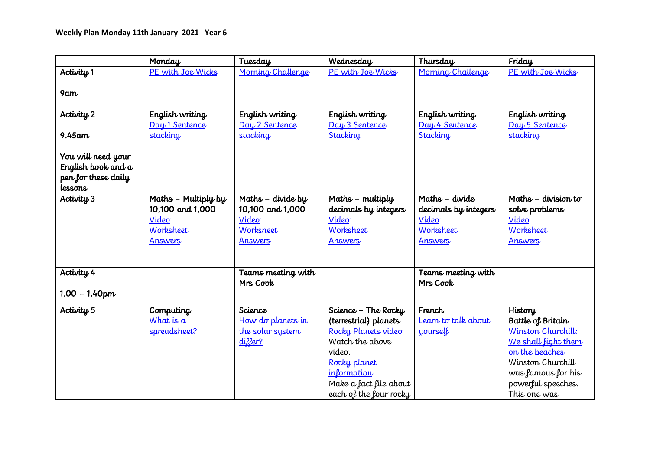|                                           | Monday              | Tuesday                        | Wednesday              | Thursday                       | Friday                                   |
|-------------------------------------------|---------------------|--------------------------------|------------------------|--------------------------------|------------------------------------------|
| Activity 1                                | PE with Joe Wicks   | Morning Challenge              | PE with Joe Wicks      | Morning Challenge              | PE with Joe Wicks                        |
| 9am                                       |                     |                                |                        |                                |                                          |
|                                           |                     |                                |                        |                                |                                          |
| Activity 2                                | English writing     | English writing                | English writing        | English writing                | English writing                          |
|                                           | Day 1 Sentence      | Day 2 Sentence                 | Day 3 Sentence         | Day 4 Sentence                 | Day 5 Sentence                           |
| $9.45$ am                                 | stacking            | stacking                       | Stacking               | Stacking                       | stacking                                 |
|                                           |                     |                                |                        |                                |                                          |
| You will need your                        |                     |                                |                        |                                |                                          |
| English book and a<br>pen for these daily |                     |                                |                        |                                |                                          |
| lessons                                   |                     |                                |                        |                                |                                          |
| Activity 3                                | Maths - Multiply by | Maths - divide by              | Maths - multiply       | Maths - divide                 | Maths - division to                      |
|                                           | 10,100 and 1,000    | 10,100 and 1,000               | decimals by integers   | decimals by integers           | solve problems                           |
|                                           | Video               | Video                          | Video                  | Video                          | Video                                    |
|                                           | Worksheet           | Worksheet                      | Worksheet              | Worksheet                      | Worksheet                                |
|                                           | <b>Answers</b>      | <b>Answers</b>                 | <b>Answers</b>         | <b>Answers</b>                 | <b>Answers</b>                           |
|                                           |                     |                                |                        |                                |                                          |
|                                           |                     |                                |                        |                                |                                          |
| Activity 4                                |                     | Teams meeting with<br>Mrs Cook |                        | Teams meeting with<br>Mrs Cook |                                          |
| $1.00 - 1.40$ pm                          |                     |                                |                        |                                |                                          |
|                                           |                     |                                |                        |                                |                                          |
| Activity <sub>5</sub>                     | Computing           | Science                        | Science - The Rocky    | French                         | History                                  |
|                                           | What is $a$         | How do planets in              | (terrestrial) planets  | Learn to talk about            | Battle of Britain                        |
|                                           | spreadsheet?        | the solar system               | Rocky Planets video    | yourself                       | Winston Churchill:                       |
|                                           |                     | differ?                        | Watch the above        |                                | We shall light them                      |
|                                           |                     |                                | video.<br>Rocky planet |                                | on the beaches<br>Winston Churchill      |
|                                           |                     |                                | information            |                                |                                          |
|                                           |                     |                                | Make a fact file about |                                | was famous for his<br>powerful speeches. |
|                                           |                     |                                | each of the four rocky |                                | This one was                             |